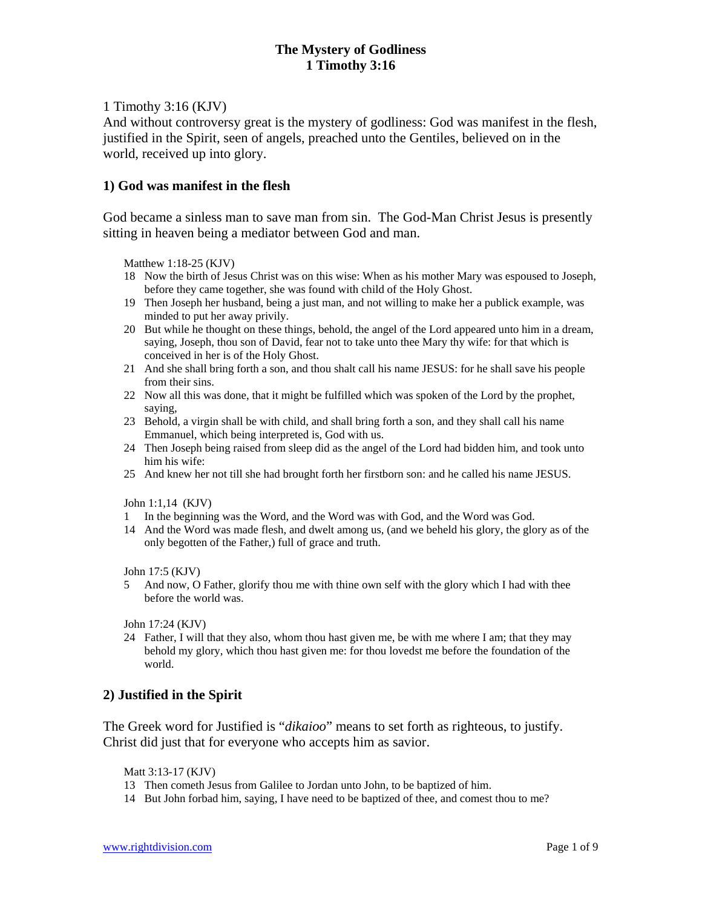## 1 Timothy 3:16 (KJV)

And without controversy great is the mystery of godliness: God was manifest in the flesh, justified in the Spirit, seen of angels, preached unto the Gentiles, believed on in the world, received up into glory.

## **1) God was manifest in the flesh**

God became a sinless man to save man from sin. The God-Man Christ Jesus is presently sitting in heaven being a mediator between God and man.

Matthew 1:18-25 (KJV)

- 18 Now the birth of Jesus Christ was on this wise: When as his mother Mary was espoused to Joseph, before they came together, she was found with child of the Holy Ghost.
- 19 Then Joseph her husband, being a just man, and not willing to make her a publick example, was minded to put her away privily.
- 20 But while he thought on these things, behold, the angel of the Lord appeared unto him in a dream, saying, Joseph, thou son of David, fear not to take unto thee Mary thy wife: for that which is conceived in her is of the Holy Ghost.
- 21 And she shall bring forth a son, and thou shalt call his name JESUS: for he shall save his people from their sins.
- 22 Now all this was done, that it might be fulfilled which was spoken of the Lord by the prophet, saying,
- 23 Behold, a virgin shall be with child, and shall bring forth a son, and they shall call his name Emmanuel, which being interpreted is, God with us.
- 24 Then Joseph being raised from sleep did as the angel of the Lord had bidden him, and took unto him his wife:
- 25 And knew her not till she had brought forth her firstborn son: and he called his name JESUS.

John 1:1,14 (KJV)

- 1 In the beginning was the Word, and the Word was with God, and the Word was God.
- 14 And the Word was made flesh, and dwelt among us, (and we beheld his glory, the glory as of the only begotten of the Father,) full of grace and truth.

John 17:5 (KJV)

5 And now, O Father, glorify thou me with thine own self with the glory which I had with thee before the world was.

John 17:24 (KJV)

24 Father, I will that they also, whom thou hast given me, be with me where I am; that they may behold my glory, which thou hast given me: for thou lovedst me before the foundation of the world.

# **2) Justified in the Spirit**

The Greek word for Justified is "*dikaioo*" means to set forth as righteous, to justify. Christ did just that for everyone who accepts him as savior.

Matt 3:13-17 (KJV)

- 13 Then cometh Jesus from Galilee to Jordan unto John, to be baptized of him.
- 14 But John forbad him, saying, I have need to be baptized of thee, and comest thou to me?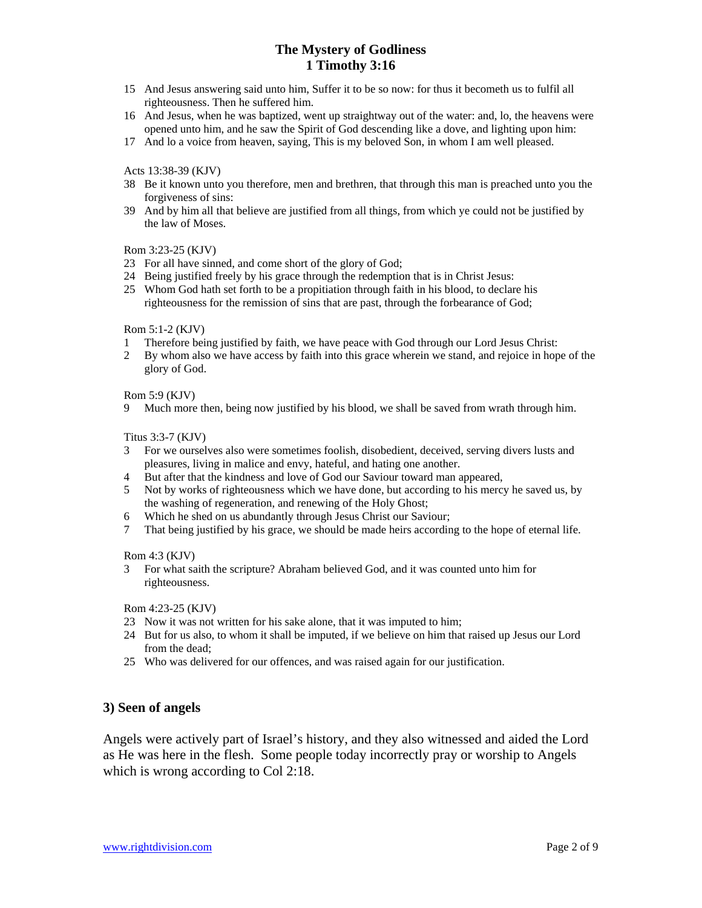- 15 And Jesus answering said unto him, Suffer it to be so now: for thus it becometh us to fulfil all righteousness. Then he suffered him.
- 16 And Jesus, when he was baptized, went up straightway out of the water: and, lo, the heavens were opened unto him, and he saw the Spirit of God descending like a dove, and lighting upon him:
- 17 And lo a voice from heaven, saying, This is my beloved Son, in whom I am well pleased.

## Acts 13:38-39 (KJV)

- 38 Be it known unto you therefore, men and brethren, that through this man is preached unto you the forgiveness of sins:
- 39 And by him all that believe are justified from all things, from which ye could not be justified by the law of Moses.

## Rom 3:23-25 (KJV)

- 23 For all have sinned, and come short of the glory of God;
- 24 Being justified freely by his grace through the redemption that is in Christ Jesus:
- 25 Whom God hath set forth to be a propitiation through faith in his blood, to declare his righteousness for the remission of sins that are past, through the forbearance of God;

## Rom 5:1-2 (KJV)

- 1 Therefore being justified by faith, we have peace with God through our Lord Jesus Christ:
- 2 By whom also we have access by faith into this grace wherein we stand, and rejoice in hope of the glory of God.

## Rom 5:9 (KJV)

9 Much more then, being now justified by his blood, we shall be saved from wrath through him.

## Titus 3:3-7 (KJV)

- 3 For we ourselves also were sometimes foolish, disobedient, deceived, serving divers lusts and pleasures, living in malice and envy, hateful, and hating one another.
- 4 But after that the kindness and love of God our Saviour toward man appeared,
- 5 Not by works of righteousness which we have done, but according to his mercy he saved us, by the washing of regeneration, and renewing of the Holy Ghost;
- 6 Which he shed on us abundantly through Jesus Christ our Saviour;
- 7 That being justified by his grace, we should be made heirs according to the hope of eternal life.

## Rom 4:3 (KJV)

3 For what saith the scripture? Abraham believed God, and it was counted unto him for righteousness.

#### Rom 4:23-25 (KJV)

- 23 Now it was not written for his sake alone, that it was imputed to him;
- 24 But for us also, to whom it shall be imputed, if we believe on him that raised up Jesus our Lord from the dead;
- 25 Who was delivered for our offences, and was raised again for our justification.

## **3) Seen of angels**

Angels were actively part of Israel's history, and they also witnessed and aided the Lord as He was here in the flesh. Some people today incorrectly pray or worship to Angels which is wrong according to Col 2:18.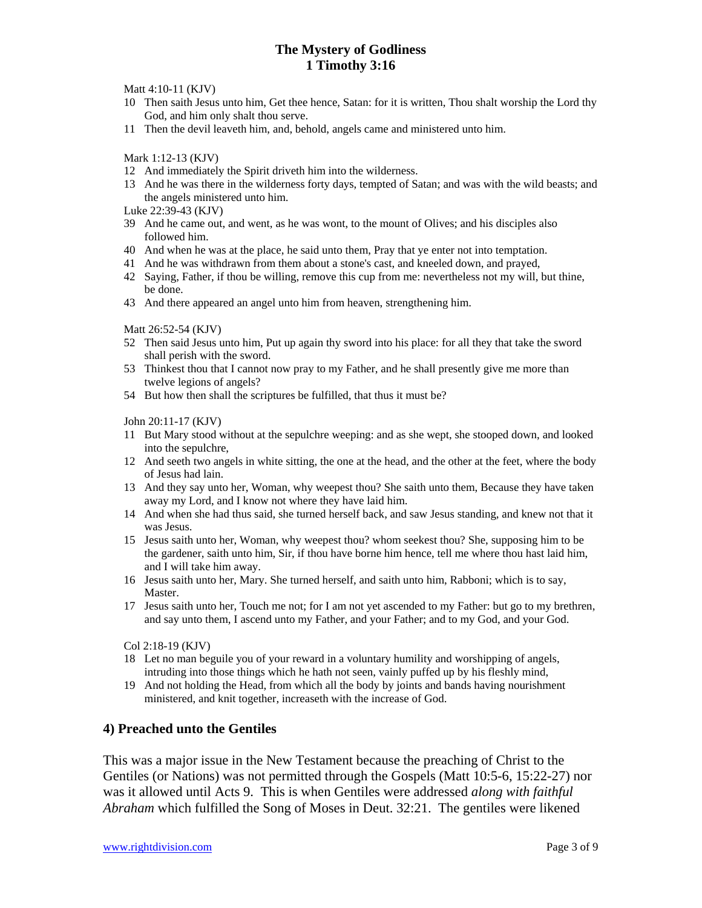Matt 4:10-11 (KJV)

- 10 Then saith Jesus unto him, Get thee hence, Satan: for it is written, Thou shalt worship the Lord thy God, and him only shalt thou serve.
- 11 Then the devil leaveth him, and, behold, angels came and ministered unto him.

Mark 1:12-13 (KJV)

- 12 And immediately the Spirit driveth him into the wilderness.
- 13 And he was there in the wilderness forty days, tempted of Satan; and was with the wild beasts; and the angels ministered unto him.

Luke 22:39-43 (KJV)

- 39 And he came out, and went, as he was wont, to the mount of Olives; and his disciples also followed him.
- 40 And when he was at the place, he said unto them, Pray that ye enter not into temptation.
- 41 And he was withdrawn from them about a stone's cast, and kneeled down, and prayed,
- 42 Saying, Father, if thou be willing, remove this cup from me: nevertheless not my will, but thine, be done.
- 43 And there appeared an angel unto him from heaven, strengthening him.

Matt 26:52-54 (KJV)

- 52 Then said Jesus unto him, Put up again thy sword into his place: for all they that take the sword shall perish with the sword.
- 53 Thinkest thou that I cannot now pray to my Father, and he shall presently give me more than twelve legions of angels?
- 54 But how then shall the scriptures be fulfilled, that thus it must be?

John 20:11-17 (KJV)

- 11 But Mary stood without at the sepulchre weeping: and as she wept, she stooped down, and looked into the sepulchre,
- 12 And seeth two angels in white sitting, the one at the head, and the other at the feet, where the body of Jesus had lain.
- 13 And they say unto her, Woman, why weepest thou? She saith unto them, Because they have taken away my Lord, and I know not where they have laid him.
- 14 And when she had thus said, she turned herself back, and saw Jesus standing, and knew not that it was Jesus.
- 15 Jesus saith unto her, Woman, why weepest thou? whom seekest thou? She, supposing him to be the gardener, saith unto him, Sir, if thou have borne him hence, tell me where thou hast laid him, and I will take him away.
- 16 Jesus saith unto her, Mary. She turned herself, and saith unto him, Rabboni; which is to say, Master.
- 17 Jesus saith unto her, Touch me not; for I am not yet ascended to my Father: but go to my brethren, and say unto them, I ascend unto my Father, and your Father; and to my God, and your God.

Col 2:18-19 (KJV)

- 18 Let no man beguile you of your reward in a voluntary humility and worshipping of angels, intruding into those things which he hath not seen, vainly puffed up by his fleshly mind,
- 19 And not holding the Head, from which all the body by joints and bands having nourishment ministered, and knit together, increaseth with the increase of God.

## **4) Preached unto the Gentiles**

This was a major issue in the New Testament because the preaching of Christ to the Gentiles (or Nations) was not permitted through the Gospels (Matt 10:5-6, 15:22-27) nor was it allowed until Acts 9. This is when Gentiles were addressed *along with faithful Abraham* which fulfilled the Song of Moses in Deut. 32:21. The gentiles were likened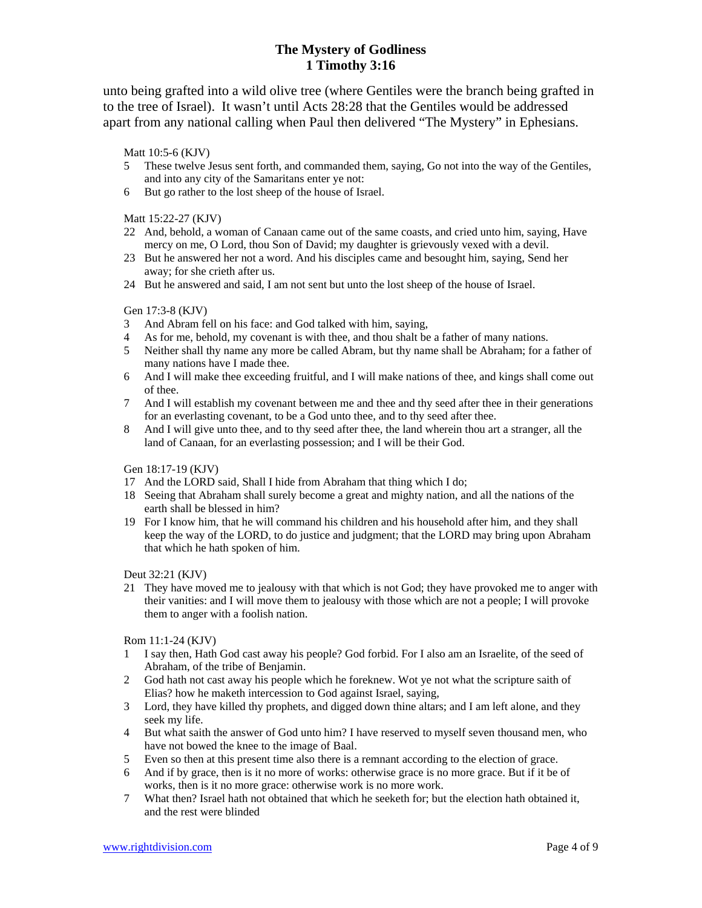unto being grafted into a wild olive tree (where Gentiles were the branch being grafted in to the tree of Israel). It wasn't until Acts 28:28 that the Gentiles would be addressed apart from any national calling when Paul then delivered "The Mystery" in Ephesians.

## Matt 10:5-6 (KJV)

- 5 These twelve Jesus sent forth, and commanded them, saying, Go not into the way of the Gentiles, and into any city of the Samaritans enter ye not:
- 6 But go rather to the lost sheep of the house of Israel.

## Matt 15:22-27 (KJV)

- 22 And, behold, a woman of Canaan came out of the same coasts, and cried unto him, saying, Have mercy on me, O Lord, thou Son of David; my daughter is grievously vexed with a devil.
- 23 But he answered her not a word. And his disciples came and besought him, saying, Send her away; for she crieth after us.
- 24 But he answered and said, I am not sent but unto the lost sheep of the house of Israel.

## Gen 17:3-8 (KJV)

- 3 And Abram fell on his face: and God talked with him, saying,
- 4 As for me, behold, my covenant is with thee, and thou shalt be a father of many nations.
- 5 Neither shall thy name any more be called Abram, but thy name shall be Abraham; for a father of many nations have I made thee.
- 6 And I will make thee exceeding fruitful, and I will make nations of thee, and kings shall come out of thee.
- 7 And I will establish my covenant between me and thee and thy seed after thee in their generations for an everlasting covenant, to be a God unto thee, and to thy seed after thee.
- 8 And I will give unto thee, and to thy seed after thee, the land wherein thou art a stranger, all the land of Canaan, for an everlasting possession; and I will be their God.

#### Gen 18:17-19 (KJV)

- 17 And the LORD said, Shall I hide from Abraham that thing which I do;
- 18 Seeing that Abraham shall surely become a great and mighty nation, and all the nations of the earth shall be blessed in him?
- 19 For I know him, that he will command his children and his household after him, and they shall keep the way of the LORD, to do justice and judgment; that the LORD may bring upon Abraham that which he hath spoken of him.

## Deut 32:21 (KJV)

21 They have moved me to jealousy with that which is not God; they have provoked me to anger with their vanities: and I will move them to jealousy with those which are not a people; I will provoke them to anger with a foolish nation.

## Rom 11:1-24 (KJV)

- 1 I say then, Hath God cast away his people? God forbid. For I also am an Israelite, of the seed of Abraham, of the tribe of Benjamin.
- 2 God hath not cast away his people which he foreknew. Wot ye not what the scripture saith of Elias? how he maketh intercession to God against Israel, saying,
- 3 Lord, they have killed thy prophets, and digged down thine altars; and I am left alone, and they seek my life.
- 4 But what saith the answer of God unto him? I have reserved to myself seven thousand men, who have not bowed the knee to the image of Baal.
- 5 Even so then at this present time also there is a remnant according to the election of grace.
- 6 And if by grace, then is it no more of works: otherwise grace is no more grace. But if it be of works, then is it no more grace: otherwise work is no more work.
- 7 What then? Israel hath not obtained that which he seeketh for; but the election hath obtained it, and the rest were blinded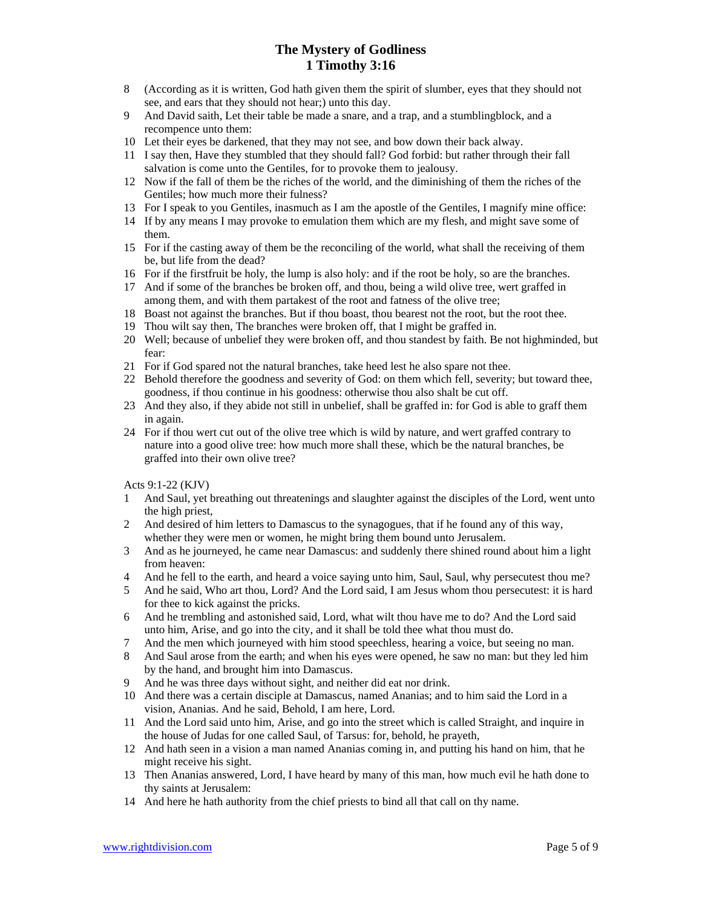- 8 (According as it is written, God hath given them the spirit of slumber, eyes that they should not see, and ears that they should not hear;) unto this day.
- 9 And David saith, Let their table be made a snare, and a trap, and a stumblingblock, and a recompence unto them:
- 10 Let their eyes be darkened, that they may not see, and bow down their back alway.
- 11 I say then, Have they stumbled that they should fall? God forbid: but rather through their fall salvation is come unto the Gentiles, for to provoke them to jealousy.
- 12 Now if the fall of them be the riches of the world, and the diminishing of them the riches of the Gentiles; how much more their fulness?
- 13 For I speak to you Gentiles, inasmuch as I am the apostle of the Gentiles, I magnify mine office:
- 14 If by any means I may provoke to emulation them which are my flesh, and might save some of them.
- 15 For if the casting away of them be the reconciling of the world, what shall the receiving of them be, but life from the dead?
- 16 For if the firstfruit be holy, the lump is also holy: and if the root be holy, so are the branches.
- 17 And if some of the branches be broken off, and thou, being a wild olive tree, wert graffed in among them, and with them partakest of the root and fatness of the olive tree;
- 18 Boast not against the branches. But if thou boast, thou bearest not the root, but the root thee.
- 19 Thou wilt say then, The branches were broken off, that I might be graffed in.
- 20 Well; because of unbelief they were broken off, and thou standest by faith. Be not highminded, but fear:
- 21 For if God spared not the natural branches, take heed lest he also spare not thee.
- 22 Behold therefore the goodness and severity of God: on them which fell, severity; but toward thee, goodness, if thou continue in his goodness: otherwise thou also shalt be cut off.
- 23 And they also, if they abide not still in unbelief, shall be graffed in: for God is able to graff them in again.
- 24 For if thou wert cut out of the olive tree which is wild by nature, and wert graffed contrary to nature into a good olive tree: how much more shall these, which be the natural branches, be graffed into their own olive tree?

Acts 9:1-22 (KJV)

- 1 And Saul, yet breathing out threatenings and slaughter against the disciples of the Lord, went unto the high priest,
- 2 And desired of him letters to Damascus to the synagogues, that if he found any of this way, whether they were men or women, he might bring them bound unto Jerusalem.
- 3 And as he journeyed, he came near Damascus: and suddenly there shined round about him a light from heaven:
- 4 And he fell to the earth, and heard a voice saying unto him, Saul, Saul, why persecutest thou me?
- 5 And he said, Who art thou, Lord? And the Lord said, I am Jesus whom thou persecutest: it is hard for thee to kick against the pricks.
- 6 And he trembling and astonished said, Lord, what wilt thou have me to do? And the Lord said unto him, Arise, and go into the city, and it shall be told thee what thou must do.
- 7 And the men which journeyed with him stood speechless, hearing a voice, but seeing no man.
- 8 And Saul arose from the earth; and when his eyes were opened, he saw no man: but they led him by the hand, and brought him into Damascus.
- 9 And he was three days without sight, and neither did eat nor drink.
- 10 And there was a certain disciple at Damascus, named Ananias; and to him said the Lord in a vision, Ananias. And he said, Behold, I am here, Lord.
- 11 And the Lord said unto him, Arise, and go into the street which is called Straight, and inquire in the house of Judas for one called Saul, of Tarsus: for, behold, he prayeth,
- 12 And hath seen in a vision a man named Ananias coming in, and putting his hand on him, that he might receive his sight.
- 13 Then Ananias answered, Lord, I have heard by many of this man, how much evil he hath done to thy saints at Jerusalem:
- 14 And here he hath authority from the chief priests to bind all that call on thy name.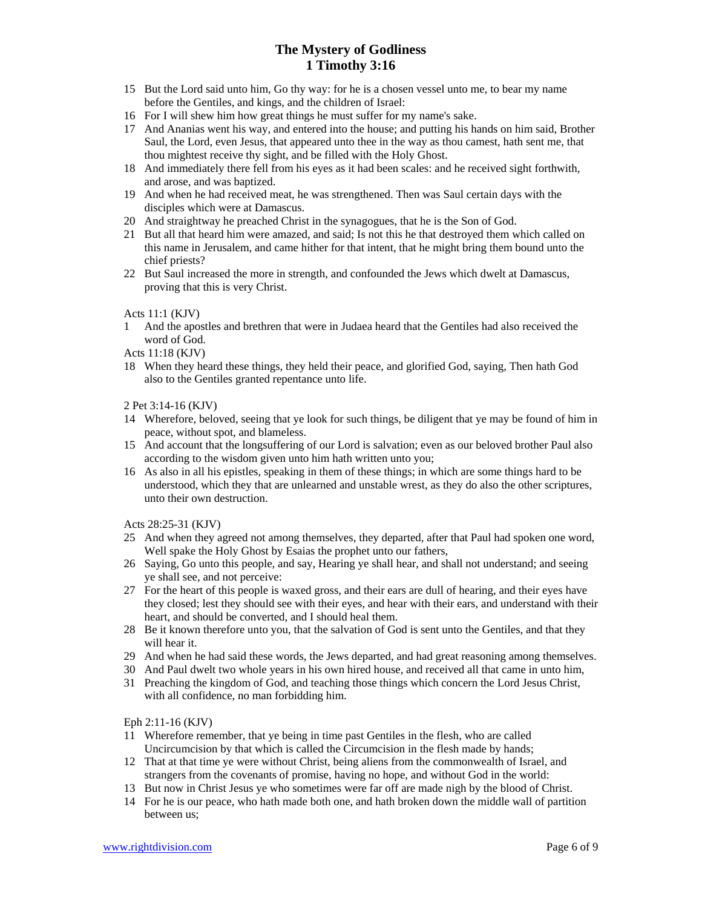- 15 But the Lord said unto him, Go thy way: for he is a chosen vessel unto me, to bear my name before the Gentiles, and kings, and the children of Israel:
- 16 For I will shew him how great things he must suffer for my name's sake.
- 17 And Ananias went his way, and entered into the house; and putting his hands on him said, Brother Saul, the Lord, even Jesus, that appeared unto thee in the way as thou camest, hath sent me, that thou mightest receive thy sight, and be filled with the Holy Ghost.
- 18 And immediately there fell from his eyes as it had been scales: and he received sight forthwith, and arose, and was baptized.
- 19 And when he had received meat, he was strengthened. Then was Saul certain days with the disciples which were at Damascus.
- 20 And straightway he preached Christ in the synagogues, that he is the Son of God.
- 21 But all that heard him were amazed, and said; Is not this he that destroyed them which called on this name in Jerusalem, and came hither for that intent, that he might bring them bound unto the chief priests?
- 22 But Saul increased the more in strength, and confounded the Jews which dwelt at Damascus, proving that this is very Christ.

#### Acts 11:1 (KJV)

1 And the apostles and brethren that were in Judaea heard that the Gentiles had also received the word of God.

Acts 11:18 (KJV)

18 When they heard these things, they held their peace, and glorified God, saying, Then hath God also to the Gentiles granted repentance unto life.

### 2 Pet 3:14-16 (KJV)

- 14 Wherefore, beloved, seeing that ye look for such things, be diligent that ye may be found of him in peace, without spot, and blameless.
- 15 And account that the longsuffering of our Lord is salvation; even as our beloved brother Paul also according to the wisdom given unto him hath written unto you;
- 16 As also in all his epistles, speaking in them of these things; in which are some things hard to be understood, which they that are unlearned and unstable wrest, as they do also the other scriptures, unto their own destruction.

Acts 28:25-31 (KJV)

- 25 And when they agreed not among themselves, they departed, after that Paul had spoken one word, Well spake the Holy Ghost by Esaias the prophet unto our fathers,
- 26 Saying, Go unto this people, and say, Hearing ye shall hear, and shall not understand; and seeing ye shall see, and not perceive:
- 27 For the heart of this people is waxed gross, and their ears are dull of hearing, and their eyes have they closed; lest they should see with their eyes, and hear with their ears, and understand with their heart, and should be converted, and I should heal them.
- 28 Be it known therefore unto you, that the salvation of God is sent unto the Gentiles, and that they will hear it.
- 29 And when he had said these words, the Jews departed, and had great reasoning among themselves.
- 30 And Paul dwelt two whole years in his own hired house, and received all that came in unto him,
- 31 Preaching the kingdom of God, and teaching those things which concern the Lord Jesus Christ, with all confidence, no man forbidding him.

Eph 2:11-16 (KJV)

- 11 Wherefore remember, that ye being in time past Gentiles in the flesh, who are called Uncircumcision by that which is called the Circumcision in the flesh made by hands;
- 12 That at that time ye were without Christ, being aliens from the commonwealth of Israel, and strangers from the covenants of promise, having no hope, and without God in the world:
- 13 But now in Christ Jesus ye who sometimes were far off are made nigh by the blood of Christ.
- 14 For he is our peace, who hath made both one, and hath broken down the middle wall of partition between us;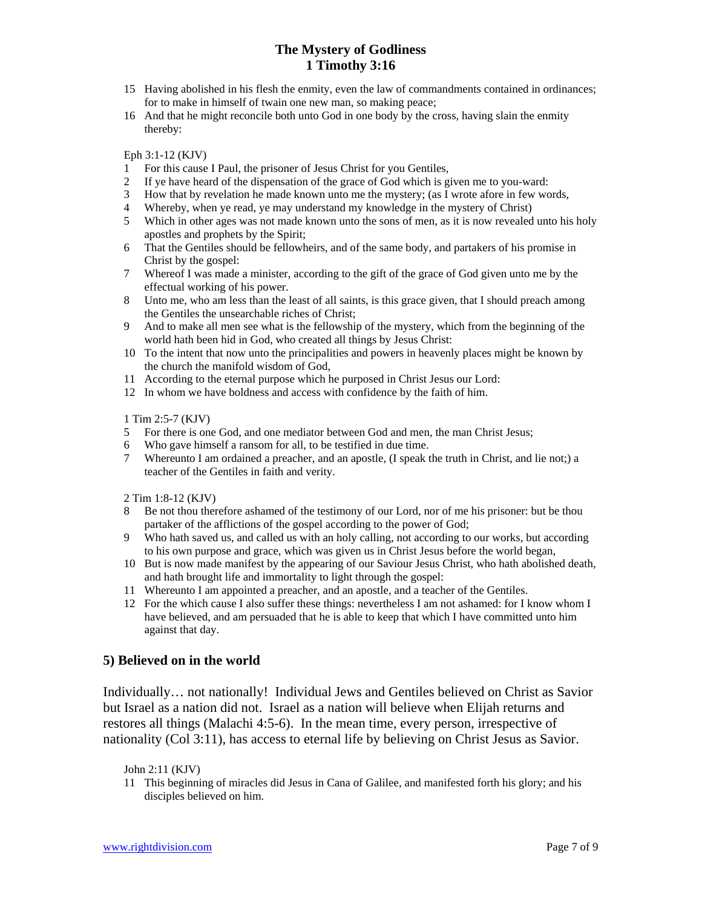- 15 Having abolished in his flesh the enmity, even the law of commandments contained in ordinances; for to make in himself of twain one new man, so making peace;
- 16 And that he might reconcile both unto God in one body by the cross, having slain the enmity thereby:

Eph 3:1-12 (KJV)

- 1 For this cause I Paul, the prisoner of Jesus Christ for you Gentiles,
- 2 If ye have heard of the dispensation of the grace of God which is given me to you-ward:
- 3 How that by revelation he made known unto me the mystery; (as I wrote afore in few words,
- 4 Whereby, when ye read, ye may understand my knowledge in the mystery of Christ)
- 5 Which in other ages was not made known unto the sons of men, as it is now revealed unto his holy apostles and prophets by the Spirit;
- 6 That the Gentiles should be fellowheirs, and of the same body, and partakers of his promise in Christ by the gospel:
- 7 Whereof I was made a minister, according to the gift of the grace of God given unto me by the effectual working of his power.
- 8 Unto me, who am less than the least of all saints, is this grace given, that I should preach among the Gentiles the unsearchable riches of Christ;
- 9 And to make all men see what is the fellowship of the mystery, which from the beginning of the world hath been hid in God, who created all things by Jesus Christ:
- 10 To the intent that now unto the principalities and powers in heavenly places might be known by the church the manifold wisdom of God,
- 11 According to the eternal purpose which he purposed in Christ Jesus our Lord:
- 12 In whom we have boldness and access with confidence by the faith of him.

1 Tim 2:5-7 (KJV)

- 5 For there is one God, and one mediator between God and men, the man Christ Jesus;
- 6 Who gave himself a ransom for all, to be testified in due time.
- 7 Whereunto I am ordained a preacher, and an apostle, (I speak the truth in Christ, and lie not;) a teacher of the Gentiles in faith and verity.

2 Tim 1:8-12 (KJV)

- 8 Be not thou therefore ashamed of the testimony of our Lord, nor of me his prisoner: but be thou partaker of the afflictions of the gospel according to the power of God;
- 9 Who hath saved us, and called us with an holy calling, not according to our works, but according to his own purpose and grace, which was given us in Christ Jesus before the world began,
- 10 But is now made manifest by the appearing of our Saviour Jesus Christ, who hath abolished death, and hath brought life and immortality to light through the gospel:
- 11 Whereunto I am appointed a preacher, and an apostle, and a teacher of the Gentiles.
- 12 For the which cause I also suffer these things: nevertheless I am not ashamed: for I know whom I have believed, and am persuaded that he is able to keep that which I have committed unto him against that day.

## **5) Believed on in the world**

Individually… not nationally! Individual Jews and Gentiles believed on Christ as Savior but Israel as a nation did not. Israel as a nation will believe when Elijah returns and restores all things (Malachi 4:5-6). In the mean time, every person, irrespective of nationality (Col 3:11), has access to eternal life by believing on Christ Jesus as Savior.

John 2:11 (KJV)

11 This beginning of miracles did Jesus in Cana of Galilee, and manifested forth his glory; and his disciples believed on him.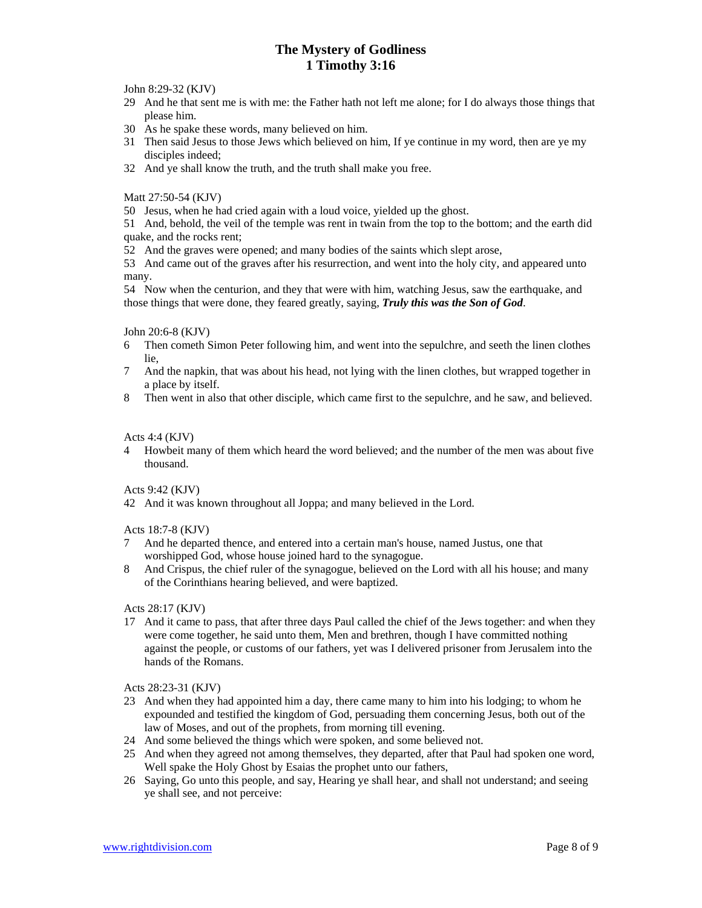John 8:29-32 (KJV)

- 29 And he that sent me is with me: the Father hath not left me alone; for I do always those things that please him.
- 30 As he spake these words, many believed on him.
- 31 Then said Jesus to those Jews which believed on him, If ye continue in my word, then are ye my disciples indeed;
- 32 And ye shall know the truth, and the truth shall make you free.

Matt 27:50-54 (KJV)

50 Jesus, when he had cried again with a loud voice, yielded up the ghost.

51 And, behold, the veil of the temple was rent in twain from the top to the bottom; and the earth did quake, and the rocks rent;

52 And the graves were opened; and many bodies of the saints which slept arose,

53 And came out of the graves after his resurrection, and went into the holy city, and appeared unto many.

54 Now when the centurion, and they that were with him, watching Jesus, saw the earthquake, and those things that were done, they feared greatly, saying, *Truly this was the Son of God*.

John 20:6-8 (KJV)

- 6 Then cometh Simon Peter following him, and went into the sepulchre, and seeth the linen clothes lie,
- 7 And the napkin, that was about his head, not lying with the linen clothes, but wrapped together in a place by itself.
- 8 Then went in also that other disciple, which came first to the sepulchre, and he saw, and believed.

## Acts 4:4 (KJV)

4 Howbeit many of them which heard the word believed; and the number of the men was about five thousand.

## Acts 9:42 (KJV)

42 And it was known throughout all Joppa; and many believed in the Lord.

## Acts 18:7-8 (KJV)

- 7 And he departed thence, and entered into a certain man's house, named Justus, one that worshipped God, whose house joined hard to the synagogue.
- 8 And Crispus, the chief ruler of the synagogue, believed on the Lord with all his house; and many of the Corinthians hearing believed, and were baptized.

#### Acts 28:17 (KJV)

17 And it came to pass, that after three days Paul called the chief of the Jews together: and when they were come together, he said unto them, Men and brethren, though I have committed nothing against the people, or customs of our fathers, yet was I delivered prisoner from Jerusalem into the hands of the Romans.

## Acts 28:23-31 (KJV)

- 23 And when they had appointed him a day, there came many to him into his lodging; to whom he expounded and testified the kingdom of God, persuading them concerning Jesus, both out of the law of Moses, and out of the prophets, from morning till evening.
- 24 And some believed the things which were spoken, and some believed not.
- 25 And when they agreed not among themselves, they departed, after that Paul had spoken one word, Well spake the Holy Ghost by Esaias the prophet unto our fathers,
- 26 Saying, Go unto this people, and say, Hearing ye shall hear, and shall not understand; and seeing ye shall see, and not perceive: